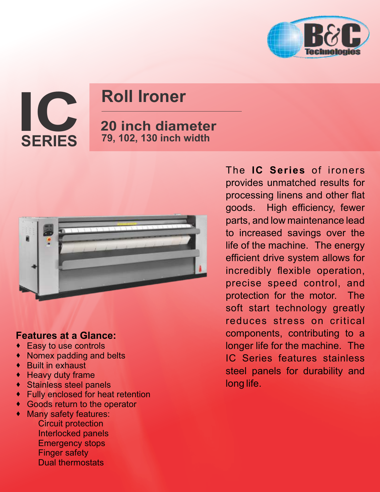

# **Roll Ironer**

## **20 inch diameter 79, 102, 130 inch width**



### **Features at a Glance:**

- · Easy to use controls
- · Nomex padding and belts
- · Built in exhaust

**IC SERIES**

- · Heavy duty frame
- · Stainless steel panels
- · Fully enclosed for heat retention
- · Goods return to the operator
- · Many safety features:
	- Circuit protection Interlocked panels Emergency stops Finger safety Dual thermostats

The **IC Series** of ironers provides unmatched results for processing linens and other flat goods. High efficiency, fewer parts, and low maintenance lead to increased savings over the life of the machine. The energy efficient drive system allows for incredibly flexible operation, precise speed control, and protection for the motor. The soft start technology greatly reduces stress on critical components, contributing to a longer life for the machine. The IC Series features stainless steel panels for durability and long life.